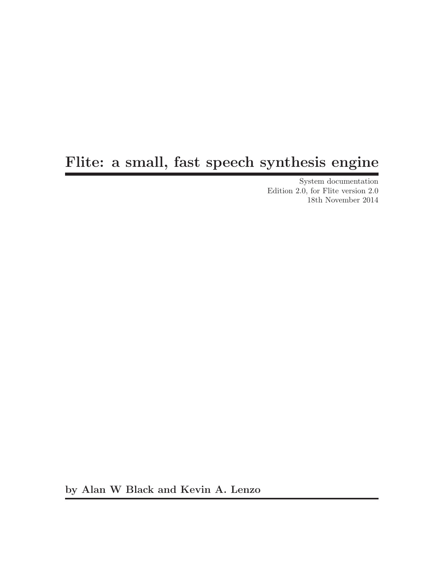# Flite: a small, fast speech synthesis engine

System documentation Edition 2.0, for Flite version 2.0 18th November 2014

by Alan W Black and Kevin A. Lenzo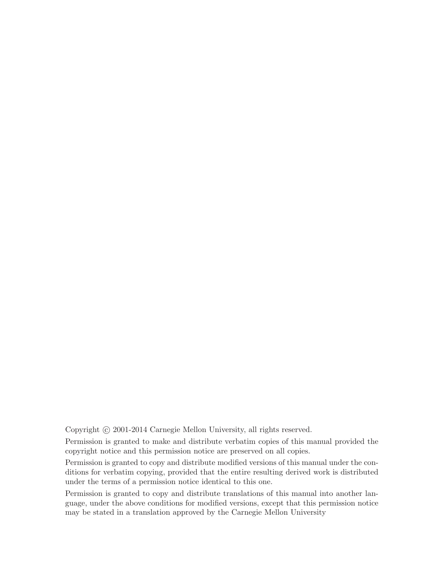Copyright © 2001-2014 Carnegie Mellon University, all rights reserved.

Permission is granted to make and distribute verbatim copies of this manual provided the copyright notice and this permission notice are preserved on all copies.

Permission is granted to copy and distribute modified versions of this manual under the conditions for verbatim copying, provided that the entire resulting derived work is distributed under the terms of a permission notice identical to this one.

Permission is granted to copy and distribute translations of this manual into another language, under the above conditions for modified versions, except that this permission notice may be stated in a translation approved by the Carnegie Mellon University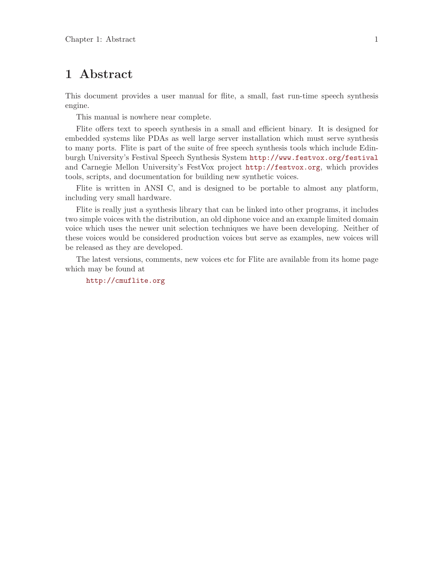## <span id="page-2-0"></span>1 Abstract

This document provides a user manual for flite, a small, fast run-time speech synthesis engine.

This manual is nowhere near complete.

Flite offers text to speech synthesis in a small and efficient binary. It is designed for embedded systems like PDAs as well large server installation which must serve synthesis to many ports. Flite is part of the suite of free speech synthesis tools which include Edinburgh University's Festival Speech Synthesis System <http://www.festvox.org/festival> and Carnegie Mellon University's FestVox project <http://festvox.org>, which provides tools, scripts, and documentation for building new synthetic voices.

Flite is written in ANSI C, and is designed to be portable to almost any platform, including very small hardware.

Flite is really just a synthesis library that can be linked into other programs, it includes two simple voices with the distribution, an old diphone voice and an example limited domain voice which uses the newer unit selection techniques we have been developing. Neither of these voices would be considered production voices but serve as examples, new voices will be released as they are developed.

The latest versions, comments, new voices etc for Flite are available from its home page which may be found at

<http://cmuflite.org>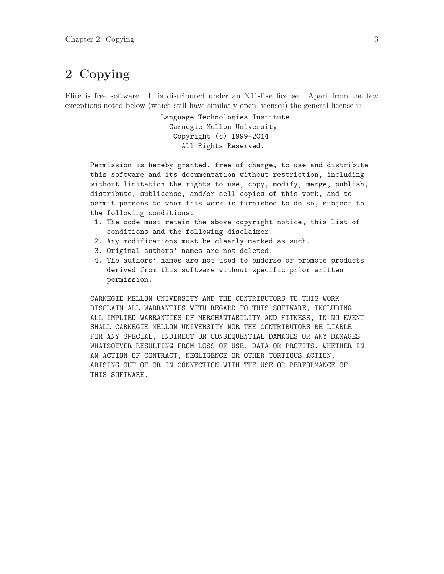## <span id="page-4-0"></span>2 Copying

Flite is free software. It is distributed under an X11-like license. Apart from the few exceptions noted below (which still have similarly open licenses) the general license is

> Language Technologies Institute Carnegie Mellon University Copyright (c) 1999-2014 All Rights Reserved.

Permission is hereby granted, free of charge, to use and distribute this software and its documentation without restriction, including without limitation the rights to use, copy, modify, merge, publish, distribute, sublicense, and/or sell copies of this work, and to permit persons to whom this work is furnished to do so, subject to the following conditions:

- 1. The code must retain the above copyright notice, this list of conditions and the following disclaimer.
- 2. Any modifications must be clearly marked as such.
- 3. Original authors' names are not deleted.
- 4. The authors' names are not used to endorse or promote products derived from this software without specific prior written permission.

CARNEGIE MELLON UNIVERSITY AND THE CONTRIBUTORS TO THIS WORK DISCLAIM ALL WARRANTIES WITH REGARD TO THIS SOFTWARE, INCLUDING ALL IMPLIED WARRANTIES OF MERCHANTABILITY AND FITNESS, IN NO EVENT SHALL CARNEGIE MELLON UNIVERSITY NOR THE CONTRIBUTORS BE LIABLE FOR ANY SPECIAL, INDIRECT OR CONSEQUENTIAL DAMAGES OR ANY DAMAGES WHATSOEVER RESULTING FROM LOSS OF USE, DATA OR PROFITS, WHETHER IN AN ACTION OF CONTRACT, NEGLIGENCE OR OTHER TORTIOUS ACTION, ARISING OUT OF OR IN CONNECTION WITH THE USE OR PERFORMANCE OF THIS SOFTWARE.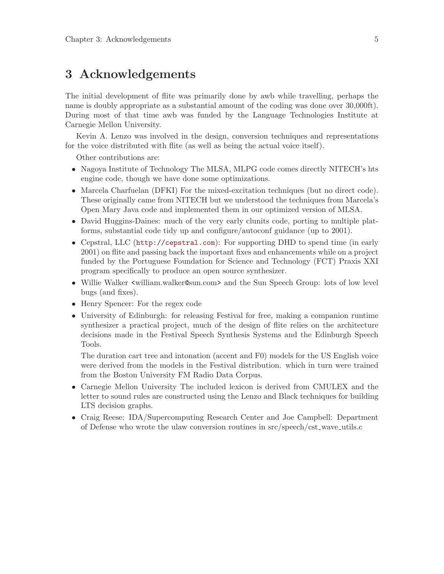## <span id="page-6-0"></span>3 Acknowledgements

The initial development of flite was primarily done by awb while travelling, perhaps the name is doubly appropriate as a substantial amount of the coding was done over 30,000ft). During most of that time awb was funded by the Language Technologies Institute at Carnegie Mellon University.

Kevin A. Lenzo was involved in the design, conversion techniques and representations for the voice distributed with flite (as well as being the actual voice itself).

Other contributions are:

- Nagoya Institute of Technology The MLSA, MLPG code comes directly NITECH's hts engine code, though we have done some optimizations.
- Marcela Charfuelan (DFKI) For the mixed-excitation techniques (but no direct code). These originally came from NITECH but we understood the techniques from Marcela's Open Mary Java code and implemented them in our optimized version of MLSA.
- David Huggins-Daines: much of the very early clunits code, porting to multiple platforms, substantial code tidy up and configure/autoconf guidance (up to 2001).
- Cepstral, LLC (<http://cepstral.com>): For supporting DHD to spend time (in early 2001) on flite and passing back the important fixes and enhancements while on a project funded by the Portuguese Foundation for Science and Technology (FCT) Praxis XXI program specifically to produce an open source synthesizer.
- Willie Walker <william.walker@sun.com> and the Sun Speech Group: lots of low level bugs (and fixes).
- Henry Spencer: For the regex code
- University of Edinburgh: for releasing Festival for free, making a companion runtime synthesizer a practical project, much of the design of flite relies on the architecture decisions made in the Festival Speech Synthesis Systems and the Edinburgh Speech Tools.

The duration cart tree and intonation (accent and F0) models for the US English voice were derived from the models in the Festival distribution. which in turn were trained from the Boston University FM Radio Data Corpus.

- Carnegie Mellon University The included lexicon is derived from CMULEX and the letter to sound rules are constructed using the Lenzo and Black techniques for building LTS decision graphs.
- Craig Reese: IDA/Supercomputing Research Center and Joe Campbell: Department of Defense who wrote the ulaw conversion routines in src/speech/cst wave utils.c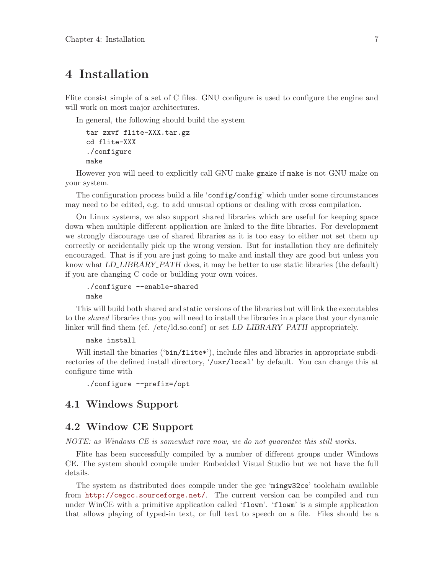## <span id="page-8-0"></span>4 Installation

Flite consist simple of a set of C files. GNU configure is used to configure the engine and will work on most major architectures.

In general, the following should build the system

```
tar zxvf flite-XXX.tar.gz
cd flite-XXX
./configure
make
```
However you will need to explicitly call GNU make gmake if make is not GNU make on your system.

The configuration process build a file 'config' config' which under some circumstances may need to be edited, e.g. to add unusual options or dealing with cross compilation.

On Linux systems, we also support shared libraries which are useful for keeping space down when multiple different application are linked to the flite libraries. For development we strongly discourage use of shared libraries as it is too easy to either not set them up correctly or accidentally pick up the wrong version. But for installation they are definitely encouraged. That is if you are just going to make and install they are good but unless you know what LD\_LIBRARY\_PATH does, it may be better to use static libraries (the default) if you are changing C code or building your own voices.

./configure --enable-shared make

This will build both shared and static versions of the libraries but will link the executables to the shared libraries thus you will need to install the libraries in a place that your dynamic linker will find them (cf. /etc/ld.so.conf) or set LD\_LIBRARY\_PATH appropriately.

### make install

Will install the binaries ('bin/flite\*'), include files and libraries in appropriate subdirectories of the defined install directory, '/usr/local' by default. You can change this at configure time with

```
./configure --prefix=/opt
```
## 4.1 Windows Support

## 4.2 Window CE Support

NOTE: as Windows CE is somewhat rare now, we do not guarantee this still works.

Flite has been successfully compiled by a number of different groups under Windows CE. The system should compile under Embedded Visual Studio but we not have the full details.

The system as distributed does compile under the gcc 'mingw32ce' toolchain available from <http://cegcc.sourceforge.net/>. The current version can be compiled and run under WinCE with a primitive application called 'flowm'. 'flowm' is a simple application that allows playing of typed-in text, or full text to speech on a file. Files should be a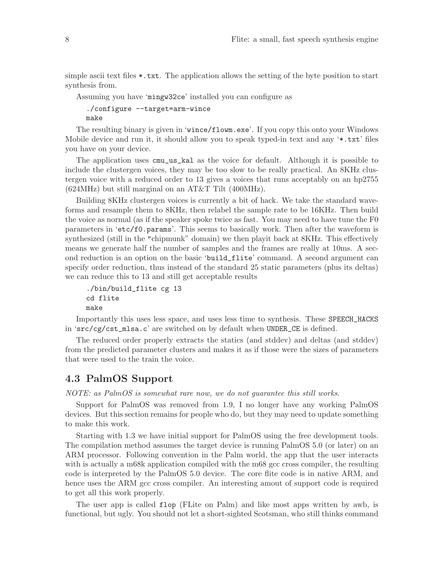<span id="page-9-0"></span>simple ascii text files \*.txt. The application allows the setting of the byte position to start synthesis from.

Assuming you have 'mingw32ce' installed you can configure as

./configure --target=arm-wince make

The resulting binary is given in 'wince/flowm.exe'. If you copy this onto your Windows Mobile device and run it, it should allow you to speak typed-in text and any '\*.txt' files you have on your device.

The application uses cmu\_us\_kal as the voice for default. Although it is possible to include the clustergen voices, they may be too slow to be really practical. An 8KHz clustergen voice with a reduced order to 13 gives a voices that runs acceptably on an hp2755  $(624\text{MHz})$  but still marginal on an AT&T Tilt  $(400\text{MHz})$ .

Building 8KHz clustergen voices is currently a bit of hack. We take the standard waveforms and resample them to 8KHz, then relabel the sample rate to be 16KHz. Then build the voice as normal (as if the speaker spoke twice as fast. You may need to have tune the F0 parameters in 'etc/f0.params'. This seems to basically work. Then after the waveform is synthesized (still in the "chipmunk" domain) we then playit back at 8KHz. This effectively means we generate half the number of samples and the frames are really at 10ms. A second reduction is an option on the basic 'build\_flite' command. A second argument can specify order reduction, thus instead of the standard 25 static parameters (plus its deltas) we can reduce this to 13 and still get acceptable results

```
./bin/build_flite cg 13
cd flite
make
```
Importantly this uses less space, and uses less time to synthesis. These SPEECH\_HACKS in 'src/cg/cst\_mlsa.c' are switched on by default when UNDER\_CE is defined.

The reduced order properly extracts the statics (and stddev) and deltas (and stddev) from the predicted parameter clusters and makes it as if those were the sizes of parameters that were used to the train the voice.

## 4.3 PalmOS Support

NOTE: as PalmOS is somewhat rare now, we do not guarantee this still works.

Support for PalmOS was removed from 1.9, I no longer have any working PalmOS devices. But this section remains for people who do, but they may need to update something to make this work.

Starting with 1.3 we have initial support for PalmOS using the free development tools. The compilation method assumes the target device is running PalmOS 5.0 (or later) on an ARM processor. Following convention in the Palm world, the app that the user interacts with is actually a m68k application compiled with the m68 gcc cross compiler, the resulting code is interpreted by the PalmOS 5.0 device. The core flite code is in native ARM, and hence uses the ARM gcc cross compiler. An interesting amout of support code is required to get all this work properly.

The user app is called flop (FLite on Palm) and like most apps written by awb, is functional, but ugly. You should not let a short-sighted Scotsman, who still thinks command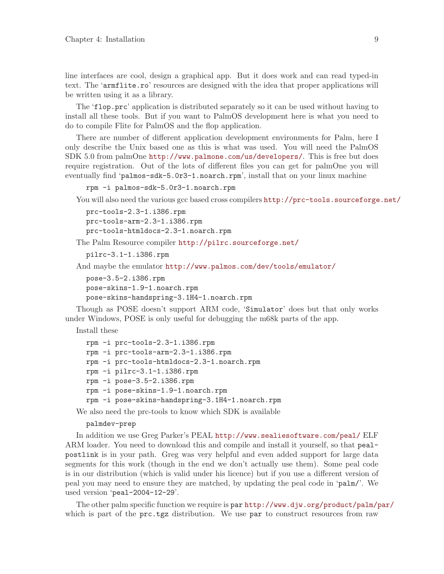line interfaces are cool, design a graphical app. But it does work and can read typed-in text. The 'armflite.ro' resources are designed with the idea that proper applications will be written using it as a library.

The 'flop.prc' application is distributed separately so it can be used without having to install all these tools. But if you want to PalmOS development here is what you need to do to compile Flite for PalmOS and the flop application.

There are number of different application development environments for Palm, here I only describe the Unix based one as this is what was used. You will need the PalmOS SDK 5.0 from palmOne <http://www.palmone.com/us/developers/>. This is free but does require registration. Out of the lots of different files you can get for palmOne you will eventually find 'palmos-sdk-5.0r3-1.noarch.rpm', install that on your linux machine

```
rpm -i palmos-sdk-5.0r3-1.noarch.rpm
```
You will also need the various gcc based cross compilers  $http://prc-tools.sourceforge.net/$ 

```
prc-tools-2.3-1.i386.rpm
prc-tools-arm-2.3-1.i386.rpm
prc-tools-htmldocs-2.3-1.noarch.rpm
```
The Palm Resource compiler <http://pilrc.sourceforge.net/>

```
pilrc-3.1-1.i386.rpm
```
And maybe the emulator <http://www.palmos.com/dev/tools/emulator/>

```
pose-3.5-2.i386.rpm
pose-skins-1.9-1.noarch.rpm
pose-skins-handspring-3.1H4-1.noarch.rpm
```
Though as POSE doesn't support ARM code, 'Simulator' does but that only works under Windows, POSE is only useful for debugging the m68k parts of the app.

Install these

```
rpm -i prc-tools-2.3-1.i386.rpm
rpm -i prc-tools-arm-2.3-1.i386.rpm
rpm -i prc-tools-htmldocs-2.3-1.noarch.rpm
rpm -i pilrc-3.1-1.i386.rpm
rpm -i pose-3.5-2.i386.rpm
rpm -i pose-skins-1.9-1.noarch.rpm
rpm -i pose-skins-handspring-3.1H4-1.noarch.rpm
```
We also need the prc-tools to know which SDK is available

palmdev-prep

In addition we use Greg Parker's PEAL <http://www.sealiesoftware.com/peal/> ELF ARM loader. You need to download this and compile and install it yourself, so that pealpostlink is in your path. Greg was very helpful and even added support for large data segments for this work (though in the end we don't actually use them). Some peal code is in our distribution (which is valid under his licence) but if you use a different version of peal you may need to ensure they are matched, by updating the peal code in 'palm/'. We used version 'peal-2004-12-29'.

The other palm specific function we require is par <http://www.djw.org/product/palm/par/> which is part of the prc.tgz distribution. We use par to construct resources from raw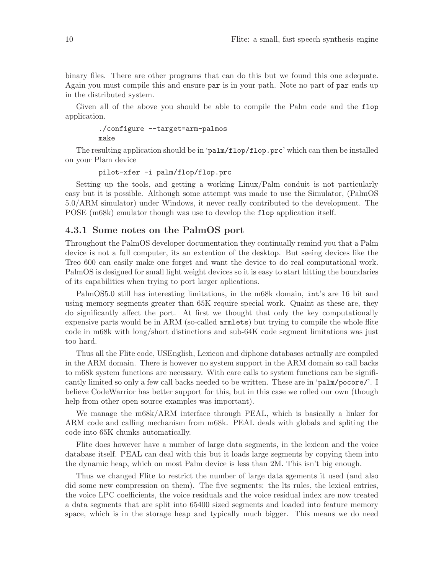<span id="page-11-0"></span>binary files. There are other programs that can do this but we found this one adequate. Again you must compile this and ensure par is in your path. Note no part of par ends up in the distributed system.

Given all of the above you should be able to compile the Palm code and the flop application.

```
./configure --target=arm-palmos
make
```
The resulting application should be in 'palm/flop/flop.prc' which can then be installed on your Plam device

pilot-xfer -i palm/flop/flop.prc

Setting up the tools, and getting a working Linux/Palm conduit is not particularly easy but it is possible. Although some attempt was made to use the Simulator, (PalmOS 5.0/ARM simulator) under Windows, it never really contributed to the development. The POSE (m68k) emulator though was use to develop the flop application itself.

### 4.3.1 Some notes on the PalmOS port

Throughout the PalmOS developer documentation they continually remind you that a Palm device is not a full computer, its an extention of the desktop. But seeing devices like the Treo 600 can easily make one forget and want the device to do real computational work. PalmOS is designed for small light weight devices so it is easy to start hitting the boundaries of its capabilities when trying to port larger aplications.

PalmOS5.0 still has interesting limitations, in the m68k domain, int's are 16 bit and using memory segments greater than 65K require special work. Quaint as these are, they do significantly affect the port. At first we thought that only the key computationally expensive parts would be in ARM (so-called armlets) but trying to compile the whole flite code in m68k with long/short distinctions and sub-64K code segment limitations was just too hard.

Thus all the Flite code, USEnglish, Lexicon and diphone databases actually are compiled in the ARM domain. There is however no system support in the ARM domain so call backs to m68k system functions are necessary. With care calls to system functions can be significantly limited so only a few call backs needed to be written. These are in 'palm/pocore/'. I believe CodeWarrior has better support for this, but in this case we rolled our own (though help from other open source examples was important).

We manage the m68k/ARM interface through PEAL, which is basically a linker for ARM code and calling mechanism from m68k. PEAL deals with globals and spliting the code into 65K chunks automatically.

Flite does however have a number of large data segments, in the lexicon and the voice database itself. PEAL can deal with this but it loads large segments by copying them into the dynamic heap, which on most Palm device is less than 2M. This isn't big enough.

Thus we changed Flite to restrict the number of large data sgements it used (and also did some new compression on them). The five segments: the lts rules, the lexical entries, the voice LPC coefficients, the voice residuals and the voice residual index are now treated a data segments that are split into 65400 sized segments and loaded into feature memory space, which is in the storage heap and typically much bigger. This means we do need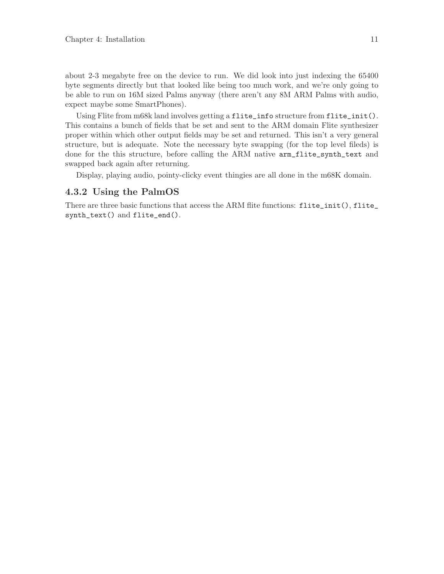<span id="page-12-0"></span>about 2-3 megabyte free on the device to run. We did look into just indexing the 65400 byte segments directly but that looked like being too much work, and we're only going to be able to run on 16M sized Palms anyway (there aren't any 8M ARM Palms with audio, expect maybe some SmartPhones).

Using Flite from m68k land involves getting a flite\_info structure from flite\_init(). This contains a bunch of fields that be set and sent to the ARM domain Flite synthesizer proper within which other output fields may be set and returned. This isn't a very general structure, but is adequate. Note the necessary byte swapping (for the top level fileds) is done for the this structure, before calling the ARM native arm\_flite\_synth\_text and swapped back again after returning.

Display, playing audio, pointy-clicky event thingies are all done in the m68K domain.

### 4.3.2 Using the PalmOS

There are three basic functions that access the ARM flite functions: flite\_init(), flite\_ synth\_text() and flite\_end().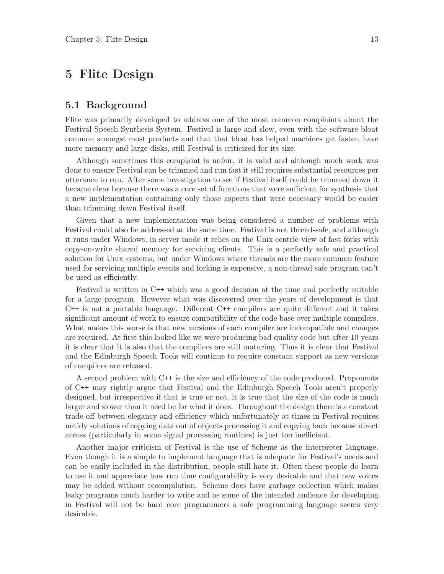## <span id="page-14-0"></span>5 Flite Design

## 5.1 Background

Flite was primarily developed to address one of the most common complaints about the Festival Speech Synthesis System. Festival is large and slow, even with the software bloat common amongst most products and that that bloat has helped machines get faster, have more memory and large disks, still Festival is criticized for its size.

Although sometimes this complaint is unfair, it is valid and although much work was done to ensure Festival can be trimmed and run fast it still requires substantial resources per utterance to run. After some investigation to see if Festival itself could be trimmed down it became clear because there was a core set of functions that were sufficient for synthesis that a new implementation containing only those aspects that were necessary would be easier than trimming down Festival itself.

Given that a new implementation was being considered a number of problems with Festival could also be addressed at the same time. Festival is not thread-safe, and although it runs under Windows, in server mode it relies on the Unix-centric view of fast forks with copy-on-write shared memory for servicing clients. This is a perfectly safe and practical solution for Unix systems, but under Windows where threads are the more common feature used for servicing multiple events and forking is expensive, a non-thread safe program can't be used as efficiently.

Festival is written in C++ which was a good decision at the time and perfectly suitable for a large program. However what was discovered over the years of development is that C++ is not a portable language. Different C++ compilers are quite different and it takes significant amount of work to ensure compatibility of the code base over multiple compilers. What makes this worse is that new versions of each compiler are incompatible and changes are required. At first this looked like we were producing bad quality code but after 10 years it is clear that it is also that the compilers are still maturing. Thus it is clear that Festival and the Edinburgh Speech Tools will continue to require constant support as new versions of compilers are released.

A second problem with C++ is the size and efficiency of the code produced. Proponents of C++ may rightly argue that Festival and the Edinburgh Speech Tools aren't properly designed, but irrespective if that is true or not, it is true that the size of the code is much larger and slower than it need be for what it does. Throughout the design there is a constant trade-off between elegancy and efficiency which unfortunately at times in Festival requires untidy solutions of copying data out of objects processing it and copying back because direct access (particularly in some signal processing routines) is just too inefficient.

Another major criticism of Festival is the use of Scheme as the interpreter language. Even though it is a simple to implement language that is adequate for Festival's needs and can be easily included in the distribution, people still hate it. Often these people do learn to use it and appreciate how run time configurability is very desirable and that new voices may be added without recompilation. Scheme does have garbage collection which makes leaky programs much harder to write and as some of the intended audience for developing in Festival will not be hard core programmers a safe programming language seems very desirable.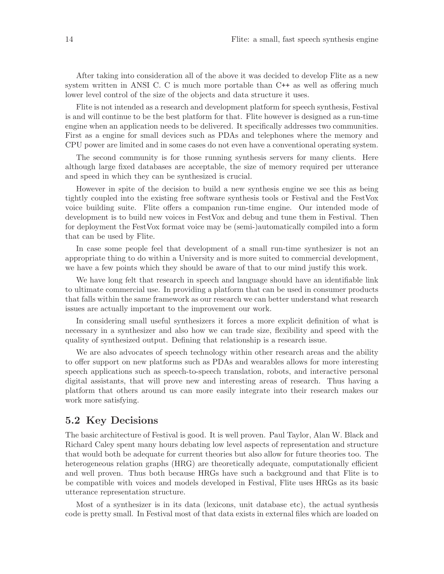<span id="page-15-0"></span>After taking into consideration all of the above it was decided to develop Flite as a new system written in ANSI C. C is much more portable than C++ as well as offering much lower level control of the size of the objects and data structure it uses.

Flite is not intended as a research and development platform for speech synthesis, Festival is and will continue to be the best platform for that. Flite however is designed as a run-time engine when an application needs to be delivered. It specifically addresses two communities. First as a engine for small devices such as PDAs and telephones where the memory and CPU power are limited and in some cases do not even have a conventional operating system.

The second community is for those running synthesis servers for many clients. Here although large fixed databases are acceptable, the size of memory required per utterance and speed in which they can be synthesized is crucial.

However in spite of the decision to build a new synthesis engine we see this as being tightly coupled into the existing free software synthesis tools or Festival and the FestVox voice building suite. Flite offers a companion run-time engine. Our intended mode of development is to build new voices in FestVox and debug and tune them in Festival. Then for deployment the FestVox format voice may be (semi-)automatically compiled into a form that can be used by Flite.

In case some people feel that development of a small run-time synthesizer is not an appropriate thing to do within a University and is more suited to commercial development, we have a few points which they should be aware of that to our mind justify this work.

We have long felt that research in speech and language should have an identifiable link to ultimate commercial use. In providing a platform that can be used in consumer products that falls within the same framework as our research we can better understand what research issues are actually important to the improvement our work.

In considering small useful synthesizers it forces a more explicit definition of what is necessary in a synthesizer and also how we can trade size, flexibility and speed with the quality of synthesized output. Defining that relationship is a research issue.

We are also advocates of speech technology within other research areas and the ability to offer support on new platforms such as PDAs and wearables allows for more interesting speech applications such as speech-to-speech translation, robots, and interactive personal digital assistants, that will prove new and interesting areas of research. Thus having a platform that others around us can more easily integrate into their research makes our work more satisfying.

### 5.2 Key Decisions

The basic architecture of Festival is good. It is well proven. Paul Taylor, Alan W. Black and Richard Caley spent many hours debating low level aspects of representation and structure that would both be adequate for current theories but also allow for future theories too. The heterogeneous relation graphs (HRG) are theoretically adequate, computationally efficient and well proven. Thus both because HRGs have such a background and that Flite is to be compatible with voices and models developed in Festival, Flite uses HRGs as its basic utterance representation structure.

Most of a synthesizer is in its data (lexicons, unit database etc), the actual synthesis code is pretty small. In Festival most of that data exists in external files which are loaded on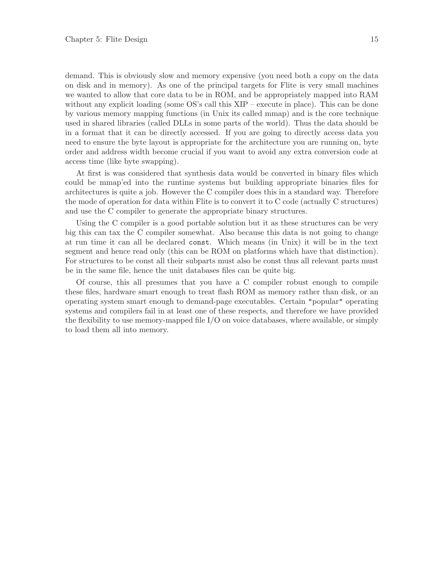demand. This is obviously slow and memory expensive (you need both a copy on the data on disk and in memory). As one of the principal targets for Flite is very small machines we wanted to allow that core data to be in ROM, and be appropriately mapped into RAM without any explicit loading (some OS's call this XIP – execute in place). This can be done by various memory mapping functions (in Unix its called mmap) and is the core technique used in shared libraries (called DLLs in some parts of the world). Thus the data should be in a format that it can be directly accessed. If you are going to directly access data you need to ensure the byte layout is appropriate for the architecture you are running on, byte order and address width become crucial if you want to avoid any extra conversion code at access time (like byte swapping).

At first is was considered that synthesis data would be converted in binary files which could be mmap'ed into the runtime systems but building appropriate binaries files for architectures is quite a job. However the C compiler does this in a standard way. Therefore the mode of operation for data within Flite is to convert it to C code (actually C structures) and use the C compiler to generate the appropriate binary structures.

Using the C compiler is a good portable solution but it as these structures can be very big this can tax the C compiler somewhat. Also because this data is not going to change at run time it can all be declared const. Which means (in Unix) it will be in the text segment and hence read only (this can be ROM on platforms which have that distinction). For structures to be const all their subparts must also be const thus all relevant parts must be in the same file, hence the unit databases files can be quite big.

Of course, this all presumes that you have a C compiler robust enough to compile these files, hardware smart enough to treat flash ROM as memory rather than disk, or an operating system smart enough to demand-page executables. Certain "popular" operating systems and compilers fail in at least one of these respects, and therefore we have provided the flexibility to use memory-mapped file  $I/O$  on voice databases, where available, or simply to load them all into memory.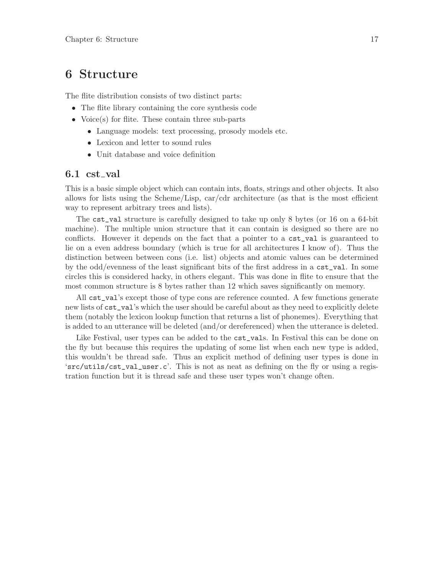## <span id="page-18-0"></span>6 Structure

The flite distribution consists of two distinct parts:

- The flite library containing the core synthesis code
- Voice(s) for flite. These contain three sub-parts
	- Language models: text processing, prosody models etc.
	- Lexicon and letter to sound rules
	- Unit database and voice definition

### 6.1 cst\_val

This is a basic simple object which can contain ints, floats, strings and other objects. It also allows for lists using the Scheme/Lisp, car/cdr architecture (as that is the most efficient way to represent arbitrary trees and lists).

The cst\_val structure is carefully designed to take up only 8 bytes (or 16 on a 64-bit machine). The multiple union structure that it can contain is designed so there are no conflicts. However it depends on the fact that a pointer to a cst\_val is guaranteed to lie on a even address boundary (which is true for all architectures I know of). Thus the distinction between between cons (i.e. list) objects and atomic values can be determined by the odd/evenness of the least significant bits of the first address in a cst\_val. In some circles this is considered hacky, in others elegant. This was done in flite to ensure that the most common structure is 8 bytes rather than 12 which saves significantly on memory.

All cst\_val's except those of type cons are reference counted. A few functions generate new lists of cst\_val's which the user should be careful about as they need to explicitly delete them (notably the lexicon lookup function that returns a list of phonemes). Everything that is added to an utterance will be deleted (and/or dereferenced) when the utterance is deleted.

Like Festival, user types can be added to the  $cst\_vals$ . In Festival this can be done on the fly but because this requires the updating of some list when each new type is added, this wouldn't be thread safe. Thus an explicit method of defining user types is done in 'src/utils/cst\_val\_user.c'. This is not as neat as defining on the fly or using a registration function but it is thread safe and these user types won't change often.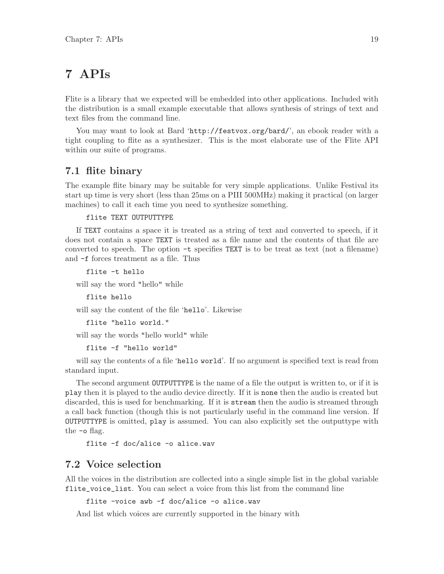## <span id="page-20-0"></span>7 APIs

Flite is a library that we expected will be embedded into other applications. Included with the distribution is a small example executable that allows synthesis of strings of text and text files from the command line.

You may want to look at Bard 'http://festvox.org/bard/', an ebook reader with a tight coupling to flite as a synthesizer. This is the most elaborate use of the Flite API within our suite of programs.

## 7.1 flite binary

The example flite binary may be suitable for very simple applications. Unlike Festival its start up time is very short (less than 25ms on a PIII 500MHz) making it practical (on larger machines) to call it each time you need to synthesize something.

### flite TEXT OUTPUTTYPE

If TEXT contains a space it is treated as a string of text and converted to speech, if it does not contain a space TEXT is treated as a file name and the contents of that file are converted to speech. The option  $-t$  specifies TEXT is to be treat as text (not a filename) and -f forces treatment as a file. Thus

flite -t hello

will say the word "hello" while

flite hello

will say the content of the file 'hello'. Likewise

```
flite "hello world."
```
will say the words "hello world" while

```
flite -f "hello world"
```
will say the contents of a file 'hello world'. If no argument is specified text is read from standard input.

The second argument OUTPUTTYPE is the name of a file the output is written to, or if it is play then it is played to the audio device directly. If it is none then the audio is created but discarded, this is used for benchmarking. If it is stream then the audio is streamed through a call back function (though this is not particularly useful in the command line version. If OUTPUTTYPE is omitted, play is assumed. You can also explicitly set the outputtype with the -o flag.

flite -f doc/alice -o alice.wav

## 7.2 Voice selection

All the voices in the distribution are collected into a single simple list in the global variable flite\_voice\_list. You can select a voice from this list from the command line

flite -voice awb -f doc/alice -o alice.wav

And list which voices are currently supported in the binary with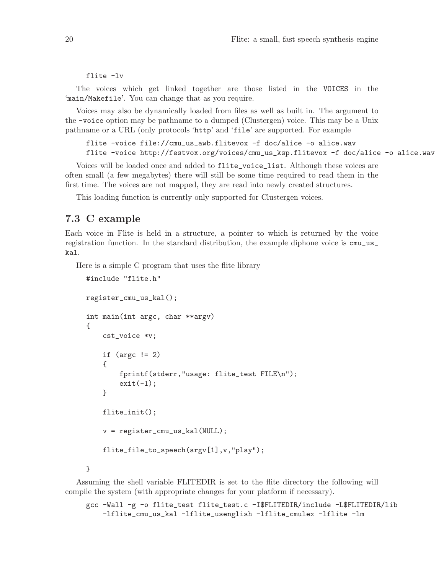<span id="page-21-0"></span>flite -lv

The voices which get linked together are those listed in the VOICES in the 'main/Makefile'. You can change that as you require.

Voices may also be dynamically loaded from files as well as built in. The argument to the -voice option may be pathname to a dumped (Clustergen) voice. This may be a Unix pathname or a URL (only protocols 'http' and 'file' are supported. For example

```
flite -voice file://cmu_us_awb.flitevox -f doc/alice -o alice.wav
flite -voice http://festvox.org/voices/cmu_us_ksp.flitevox -f doc/alice -o alice.wav
```
Voices will be loaded once and added to flite\_voice\_list. Although these voices are often small (a few megabytes) there will still be some time required to read them in the first time. The voices are not mapped, they are read into newly created structures.

This loading function is currently only supported for Clustergen voices.

## 7.3 C example

Each voice in Flite is held in a structure, a pointer to which is returned by the voice registration function. In the standard distribution, the example diphone voice is cmu\_us\_ kal.

Here is a simple C program that uses the flite library

```
#include "flite.h"
register_cmu_us_kal();
int main(int argc, char **argv)
{
    cst_voice *v;
    if (\arg c := 2){
        fprintf(stderr,"usage: flite_test FILE\n");
        exit(-1);}
    flite_init();
    v = register_cmu_us_kal(NULL);
    flite_file_to_speech(argv[1],v,"play");
}
```
Assuming the shell variable FLITEDIR is set to the flite directory the following will compile the system (with appropriate changes for your platform if necessary).

```
gcc -Wall -g -o flite_test flite_test.c -I$FLITEDIR/include -L$FLITEDIR/lib
   -lflite_cmu_us_kal -lflite_usenglish -lflite_cmulex -lflite -lm
```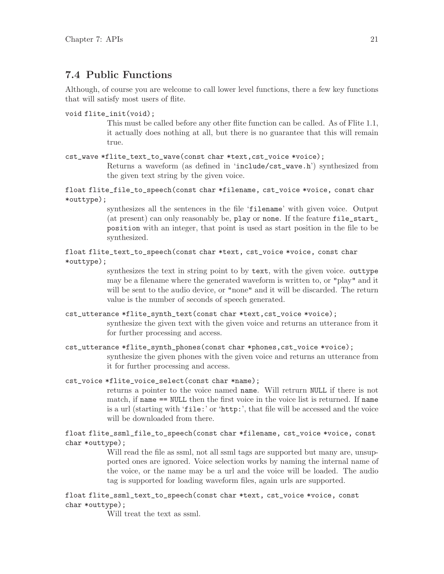## <span id="page-22-0"></span>7.4 Public Functions

Although, of course you are welcome to call lower level functions, there a few key functions that will satisfy most users of flite.

```
void flite_init(void);
```
This must be called before any other flite function can be called. As of Flite 1.1, it actually does nothing at all, but there is no guarantee that this will remain true.

### cst\_wave \*flite\_text\_to\_wave(const char \*text,cst\_voice \*voice);

Returns a waveform (as defined in 'include/cst\_wave.h') synthesized from the given text string by the given voice.

float flite\_file\_to\_speech(const char \*filename, cst\_voice \*voice, const char \*outtype);

> synthesizes all the sentences in the file 'filename' with given voice. Output (at present) can only reasonably be, play or none. If the feature file\_start\_ position with an integer, that point is used as start position in the file to be synthesized.

float flite\_text\_to\_speech(const char \*text, cst\_voice \*voice, const char \*outtype);

> synthesizes the text in string point to by text, with the given voice. outtype may be a filename where the generated waveform is written to, or "play" and it will be sent to the audio device, or "none" and it will be discarded. The return value is the number of seconds of speech generated.

- cst\_utterance \*flite\_synth\_text(const char \*text,cst\_voice \*voice); synthesize the given text with the given voice and returns an utterance from it for further processing and access.
- cst\_utterance \*flite\_synth\_phones(const char \*phones,cst\_voice \*voice); synthesize the given phones with the given voice and returns an utterance from it for further processing and access.

cst\_voice \*flite\_voice\_select(const char \*name);

returns a pointer to the voice named name. Will retrurn NULL if there is not match, if name == NULL then the first voice in the voice list is returned. If name is a url (starting with 'file:' or 'http:', that file will be accessed and the voice will be downloaded from there.

float flite\_ssml\_file\_to\_speech(const char \*filename, cst\_voice \*voice, const char \*outtype);

> Will read the file as ssml, not all ssml tags are supported but many are, unsupported ones are ignored. Voice selection works by naming the internal name of the voice, or the name may be a url and the voice will be loaded. The audio tag is supported for loading waveform files, again urls are supported.

float flite\_ssml\_text\_to\_speech(const char \*text, cst\_voice \*voice, const char \*outtype);

Will treat the text as ssml.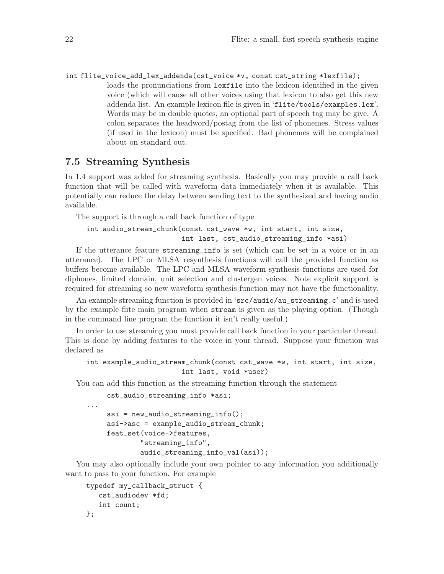<span id="page-23-0"></span>int flite\_voice\_add\_lex\_addenda(cst\_voice \*v, const cst\_string \*lexfile); loads the pronunciations from lexfile into the lexicon identified in the given voice (which will cause all other voices using that lexicon to also get this new addenda list. An example lexicon file is given in 'flite/tools/examples.lex'. Words may be in double quotes, an optional part of speech tag may be give. A colon separates the headword/postag from the list of phonemes. Stress values (if used in the lexicon) must be specified. Bad phonemes will be complained about on standard out.

## 7.5 Streaming Synthesis

In 1.4 support was added for streaming synthesis. Basically you may provide a call back function that will be called with waveform data immediately when it is available. This potentially can reduce the delay between sending text to the synthesized and having audio available.

The support is through a call back function of type

```
int audio_stream_chunk(const cst_wave *w, int start, int size,
                       int last, cst_audio_streaming_info *asi)
```
If the utterance feature streaming\_info is set (which can be set in a voice or in an utterance). The LPC or MLSA resynthesis functions will call the provided function as buffers become available. The LPC and MLSA waveform synthesis functions are used for diphones, limited domain, unit selection and clustergen voices. Note explicit support is required for streaming so new waveform synthesis function may not have the functionality.

An example streaming function is provided in 'src/audio/au\_streaming.c' and is used by the example flite main program when stream is given as the playing option. (Though in the command line program the function it isn't really useful.)

In order to use streaming you must provide call back function in your particular thread. This is done by adding features to the voice in your thread. Suppose your function was declared as

```
int example_audio_stream_chunk(const cst_wave *w, int start, int size,
                       int last, void *user)
```
You can add this function as the streaming function through the statement

```
cst_audio_streaming_info *asi;
...
    asi = new_audio_streaming_info();
    asi->asc = example_audio_stream_chunk;
    feat_set(voice->features,
             "streaming_info",
             audio_streaming_info_val(asi));
```
You may also optionally include your own pointer to any information you additionally want to pass to your function. For example

```
typedef my_callback_struct {
   cst_audiodev *fd;
   int count;
};
```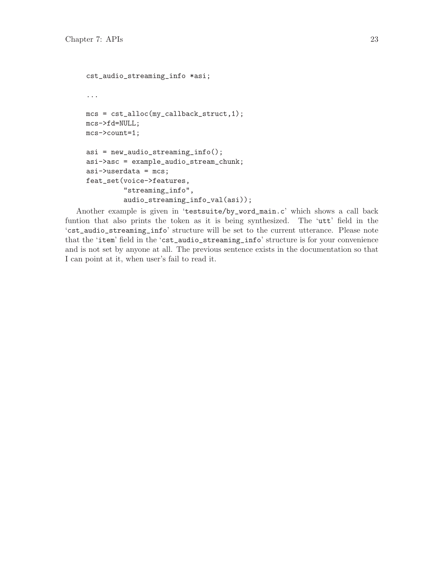```
cst_audio_streaming_info *asi;
...
mcs = cst_alloc(my_callback_struct,1);
mcs->fd=NULL;
mcs->count=1;
asi = new_audio_streaming_info();
asi->asc = example_audio_stream_chunk;
asi->userdata = mcs;
feat_set(voice->features,
         "streaming_info",
         audio_streaming_info_val(asi));
```
Another example is given in 'testsuite/by\_word\_main.c' which shows a call back funtion that also prints the token as it is being synthesized. The 'utt' field in the 'cst\_audio\_streaming\_info' structure will be set to the current utterance. Please note that the 'item' field in the 'cst\_audio\_streaming\_info' structure is for your convenience and is not set by anyone at all. The previous sentence exists in the documentation so that I can point at it, when user's fail to read it.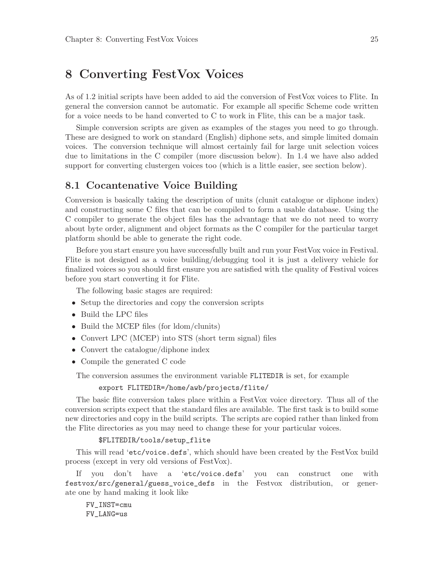## <span id="page-26-0"></span>8 Converting FestVox Voices

As of 1.2 initial scripts have been added to aid the conversion of FestVox voices to Flite. In general the conversion cannot be automatic. For example all specific Scheme code written for a voice needs to be hand converted to C to work in Flite, this can be a major task.

Simple conversion scripts are given as examples of the stages you need to go through. These are designed to work on standard (English) diphone sets, and simple limited domain voices. The conversion technique will almost certainly fail for large unit selection voices due to limitations in the C compiler (more discussion below). In 1.4 we have also added support for converting clustergen voices too (which is a little easier, see section below).

### 8.1 Cocantenative Voice Building

Conversion is basically taking the description of units (clunit catalogue or diphone index) and constructing some C files that can be compiled to form a usable database. Using the C compiler to generate the object files has the advantage that we do not need to worry about byte order, alignment and object formats as the C compiler for the particular target platform should be able to generate the right code.

Before you start ensure you have successfully built and run your FestVox voice in Festival. Flite is not designed as a voice building/debugging tool it is just a delivery vehicle for finalized voices so you should first ensure you are satisfied with the quality of Festival voices before you start converting it for Flite.

The following basic stages are required:

- Setup the directories and copy the conversion scripts
- Build the LPC files
- Build the MCEP files (for ldom/clunits)
- Convert LPC (MCEP) into STS (short term signal) files
- Convert the catalogue/diphone index
- Compile the generated C code

The conversion assumes the environment variable FLITEDIR is set, for example

#### export FLITEDIR=/home/awb/projects/flite/

The basic flite conversion takes place within a FestVox voice directory. Thus all of the conversion scripts expect that the standard files are available. The first task is to build some new directories and copy in the build scripts. The scripts are copied rather than linked from the Flite directories as you may need to change these for your particular voices.

#### \$FLITEDIR/tools/setup\_flite

This will read 'etc/voice.defs', which should have been created by the FestVox build process (except in very old versions of FestVox).

If you don't have a 'etc/voice.defs' you can construct one with festvox/src/general/guess\_voice\_defs in the Festvox distribution, or generate one by hand making it look like

FV\_INST=cmu FV\_LANG=us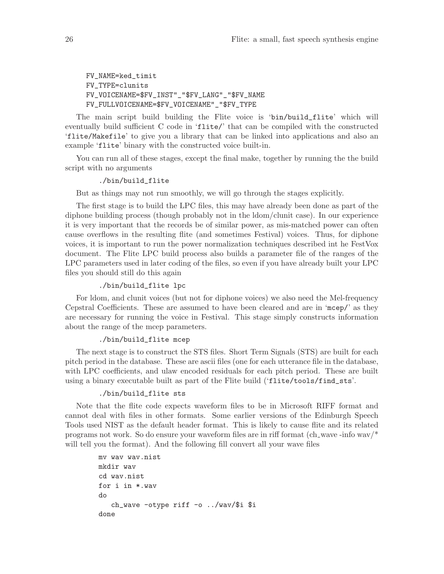FV\_NAME=ked\_timit FV\_TYPE=clunits FV\_VOICENAME=\$FV\_INST"\_"\$FV\_LANG"\_"\$FV\_NAME FV\_FULLVOICENAME=\$FV\_VOICENAME"\_"\$FV\_TYPE

The main script build building the Flite voice is 'bin/build\_flite' which will eventually build sufficient C code in 'flite/' that can be compiled with the constructed 'flite/Makefile' to give you a library that can be linked into applications and also an example 'flite' binary with the constructed voice built-in.

You can run all of these stages, except the final make, together by running the the build script with no arguments

#### ./bin/build\_flite

But as things may not run smoothly, we will go through the stages explicitly.

The first stage is to build the LPC files, this may have already been done as part of the diphone building process (though probably not in the ldom/clunit case). In our experience it is very important that the records be of similar power, as mis-matched power can often cause overflows in the resulting flite (and sometimes Festival) voices. Thus, for diphone voices, it is important to run the power normalization techniques described int he FestVox document. The Flite LPC build process also builds a parameter file of the ranges of the LPC parameters used in later coding of the files, so even if you have already built your LPC files you should still do this again

#### ./bin/build\_flite lpc

For ldom, and clunit voices (but not for diphone voices) we also need the Mel-frequency Cepstral Coefficients. These are assumed to have been cleared and are in 'mcep/' as they are necessary for running the voice in Festival. This stage simply constructs information about the range of the mcep parameters.

#### ./bin/build\_flite mcep

The next stage is to construct the STS files. Short Term Signals (STS) are built for each pitch period in the database. These are ascii files (one for each utterance file in the database, with LPC coefficients, and ulaw encoded residuals for each pitch period. These are built using a binary executable built as part of the Flite build ('flite/tools/find\_sts'.

### ./bin/build\_flite sts

Note that the flite code expects waveform files to be in Microsoft RIFF format and cannot deal with files in other formats. Some earlier versions of the Edinburgh Speech Tools used NIST as the default header format. This is likely to cause flite and its related programs not work. So do ensure your waveform files are in riff format (ch wave -info wav/\* will tell you the format). And the following fill convert all your wave files

```
mv wav wav.nist
mkdir wav
cd wav.nist
for i in *.wav
do
   ch_wave -otype riff -o ../wav/$i $i
done
```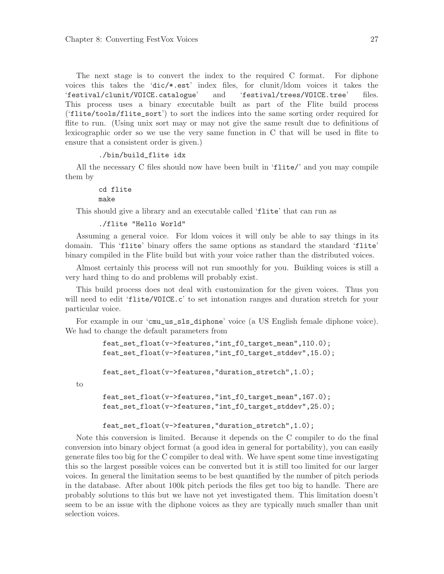The next stage is to convert the index to the required C format. For diphone voices this takes the 'dic/\*.est' index files, for clunit/ldom voices it takes the 'festival/clunit/VOICE.catalogue' and 'festival/trees/VOICE.tree' files. This process uses a binary executable built as part of the Flite build process ('flite/tools/flite\_sort') to sort the indices into the same sorting order required for flite to run. (Using unix sort may or may not give the same result due to definitions of lexicographic order so we use the very same function in C that will be used in flite to ensure that a consistent order is given.)

```
./bin/build_flite idx
```
All the necessary C files should now have been built in 'flite/' and you may compile them by

> cd flite make

This should give a library and an executable called 'flite' that can run as

```
./flite "Hello World"
```
Assuming a general voice. For ldom voices it will only be able to say things in its domain. This 'flite' binary offers the same options as standard the standard 'flite' binary compiled in the Flite build but with your voice rather than the distributed voices.

Almost certainly this process will not run smoothly for you. Building voices is still a very hard thing to do and problems will probably exist.

This build process does not deal with customization for the given voices. Thus you will need to edit 'flite/VOICE.c' to set intonation ranges and duration stretch for your particular voice.

For example in our 'cmu\_us\_sls\_diphone' voice (a US English female diphone voice). We had to change the default parameters from

```
feat_set_float(v->features,"int_f0_target_mean",110.0);
feat_set_float(v->features,"int_f0_target_stddev",15.0);
```
feat\_set\_float(v->features,"duration\_stretch",1.0);

to

```
feat_set_float(v->features,"int_f0_target_mean",167.0);
feat_set_float(v->features,"int_f0_target_stddev",25.0);
```
feat\_set\_float(v->features,"duration\_stretch",1.0);

Note this conversion is limited. Because it depends on the C compiler to do the final conversion into binary object format (a good idea in general for portability), you can easily generate files too big for the C compiler to deal with. We have spent some time investigating this so the largest possible voices can be converted but it is still too limited for our larger voices. In general the limitation seems to be best quantified by the number of pitch periods in the database. After about 100k pitch periods the files get too big to handle. There are probably solutions to this but we have not yet investigated them. This limitation doesn't seem to be an issue with the diphone voices as they are typically much smaller than unit selection voices.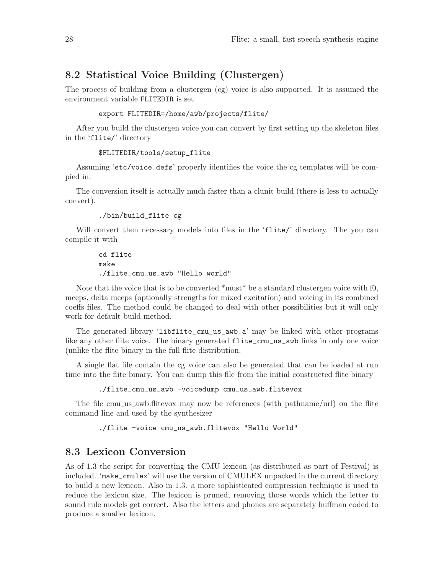## <span id="page-29-0"></span>8.2 Statistical Voice Building (Clustergen)

The process of building from a clustergen (cg) voice is also supported. It is assumed the environment variable FLITEDIR is set

```
export FLITEDIR=/home/awb/projects/flite/
```
After you build the clustergen voice you can convert by first setting up the skeleton files in the 'flite/' directory

```
$FLITEDIR/tools/setup_flite
```
Assuming 'etc/voice.defs' properly identifies the voice the cg templates will be compied in.

The conversion itself is actually much faster than a clunit build (there is less to actually convert).

```
./bin/build_flite cg
```
Will convert then necessary models into files in the 'flite/' directory. The you can compile it with

```
cd flite
make
./flite_cmu_us_awb "Hello world"
```
Note that the voice that is to be converted \*must\* be a standard clustergen voice with f0, mceps, delta mceps (optionally strengths for mixed excitation) and voicing in its combined coeffs files. The method could be changed to deal with other possibilities but it will only work for default build method.

The generated library 'libflite\_cmu\_us\_awb.a' may be linked with other programs like any other flite voice. The binary generated flite\_cmu\_us\_awb links in only one voice (unlike the flite binary in the full flite distribution.

A single flat file contain the cg voice can also be generated that can be loaded at run time into the flite binary. You can dump this file from the initial constructed flite binary

./flite\_cmu\_us\_awb -voicedump cmu\_us\_awb.flitevox

The file cmu us awb.flitevox may now be references (with pathname/url) on the flite command line and used by the synthesizer

./flite -voice cmu\_us\_awb.flitevox "Hello World"

## 8.3 Lexicon Conversion

As of 1.3 the script for converting the CMU lexicon (as distributed as part of Festival) is included. 'make\_cmulex' will use the version of CMULEX unpacked in the current directory to build a new lexicon. Also in 1.3. a more sophisticated compression technique is used to reduce the lexicon size. The lexicon is pruned, removing those words which the letter to sound rule models get correct. Also the letters and phones are separately huffman coded to produce a smaller lexicon.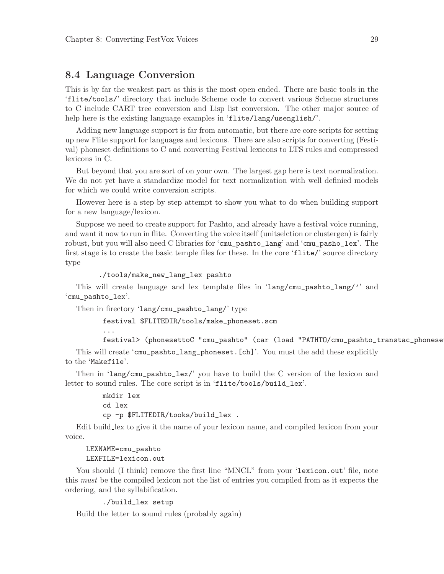### <span id="page-30-0"></span>8.4 Language Conversion

This is by far the weakest part as this is the most open ended. There are basic tools in the 'flite/tools/' directory that include Scheme code to convert various Scheme structures to C include CART tree conversion and Lisp list conversion. The other major source of help here is the existing language examples in 'flite/lang/usenglish/'.

Adding new language support is far from automatic, but there are core scripts for setting up new Flite support for languages and lexicons. There are also scripts for converting (Festival) phoneset definitions to C and converting Festival lexicons to LTS rules and compressed lexicons in C.

But beyond that you are sort of on your own. The largest gap here is text normalization. We do not yet have a standardize model for text normalization with well definied models for which we could write conversion scripts.

However here is a step by step attempt to show you what to do when building support for a new language/lexicon.

Suppose we need to create support for Pashto, and already have a festival voice running, and want it now to run in flite. Converting the voice itself (unitselction or clustergen) is fairly robust, but you will also need C libraries for 'cmu\_pashto\_lang' and 'cmu\_pasho\_lex'. The first stage is to create the basic temple files for these. In the core 'flite/' source directory type

./tools/make\_new\_lang\_lex pashto

This will create language and lex template files in 'lang/cmu\_pashto\_lang/'' and 'cmu\_pashto\_lex'.

Then in firectory 'lang/cmu\_pashto\_lang/' type

festival \$FLITEDIR/tools/make\_phoneset.scm

festival> (phonesettoC "cmu\_pashto" (car (load "PATHTO/cmu\_pashto\_transtac\_phonese

This will create 'cmu\_pashto\_lang\_phoneset.[ch]'. You must the add these explicitly to the 'Makefile'.

Then in 'lang/cmu\_pashto\_lex/' you have to build the C version of the lexicon and letter to sound rules. The core script is in 'flite/tools/build\_lex'.

> mkdir lex cd lex cp -p \$FLITEDIR/tooks/build\_lex .

Edit build lex to give it the name of your lexicon name, and compiled lexicon from your voice.

#### LEXNAME=cmu\_pashto

...

#### LEXFILE=lexicon.out

You should (I think) remove the first line "MNCL" from your 'lexicon.out' file, note this must be the compiled lexicon not the list of entries you compiled from as it expects the ordering, and the syllabification.

```
./build_lex setup
```
Build the letter to sound rules (probably again)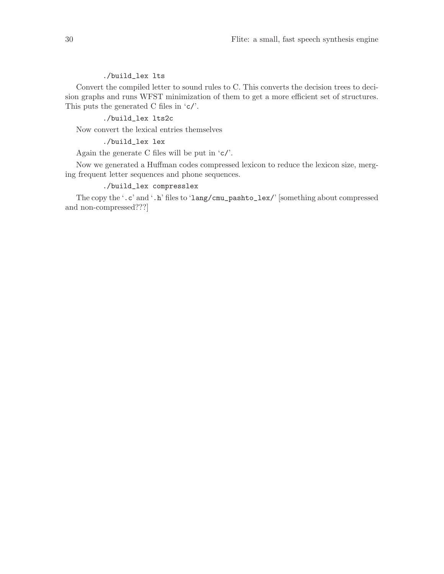### ./build\_lex lts

Convert the compiled letter to sound rules to C. This converts the decision trees to decision graphs and runs WFST minimization of them to get a more efficient set of structures. This puts the generated C files in 'c/'.

### ./build\_lex lts2c

Now convert the lexical entries themselves

### ./build\_lex lex

Again the generate C files will be put in 'c/'.

Now we generated a Huffman codes compressed lexicon to reduce the lexicon size, merging frequent letter sequences and phone sequences.

### ./build\_lex compresslex

The copy the '.c' and '.h' files to 'lang/cmu\_pashto\_lex/' [something about compressed and non-compressed???]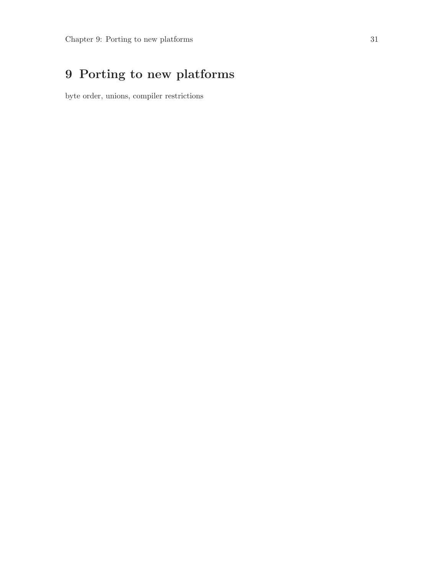# <span id="page-32-0"></span>9 Porting to new platforms

byte order, unions, compiler restrictions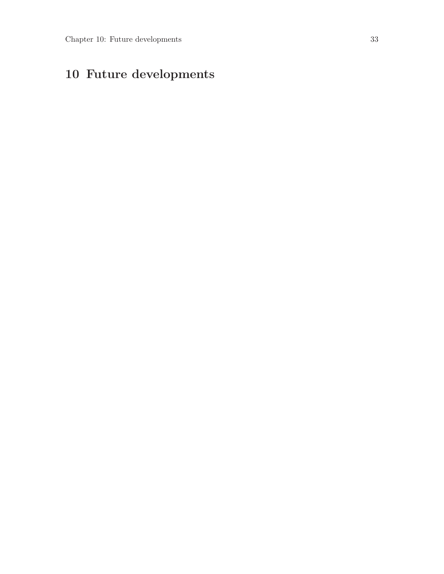# <span id="page-34-0"></span>10 Future developments